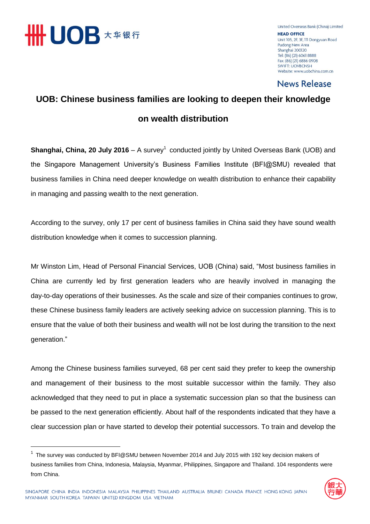

l

United Overseas Bank (China) Limited **HEAD OFFICE** Unit 105, 2F, 3F, 111 Dongyuan Road Pudong New Area Shanghai 200120 Tel: (86) (21) 6061 8888 Fax: (86) (21) 6886 0908 **SWIFT: UOVBCNSH** Website: www.uobchina.com.cn

### **News Release**

### **UOB: Chinese business families are looking to deepen their knowledge on wealth distribution**

**Shanghai, China, 20 July 2016** – A survey<sup>1</sup> conducted jointly by United Overseas Bank (UOB) and the Singapore Management University's Business Families Institute (BFI@SMU) revealed that business families in China need deeper knowledge on wealth distribution to enhance their capability in managing and passing wealth to the next generation.

According to the survey, only 17 per cent of business families in China said they have sound wealth distribution knowledge when it comes to succession planning.

Mr Winston Lim, Head of Personal Financial Services, UOB (China) said, "Most business families in China are currently led by first generation leaders who are heavily involved in managing the day-to-day operations of their businesses. As the scale and size of their companies continues to grow, these Chinese business family leaders are actively seeking advice on succession planning. This is to ensure that the value of both their business and wealth will not be lost during the transition to the next generation."

Among the Chinese business families surveyed, 68 per cent said they prefer to keep the ownership and management of their business to the most suitable successor within the family. They also acknowledged that they need to put in place a systematic succession plan so that the business can be passed to the next generation efficiently. About half of the respondents indicated that they have a clear succession plan or have started to develop their potential successors. To train and develop the

<sup>&</sup>lt;sup>1</sup> The survey was conducted by BFI@SMU between November 2014 and July 2015 with 192 key decision makers of business families from China, Indonesia, Malaysia, Myanmar, Philippines, Singapore and Thailand. 104 respondents were from China.

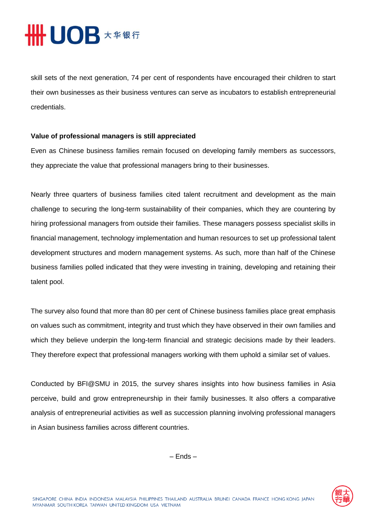# HHUOB **\*\*\*\***

skill sets of the next generation, 74 per cent of respondents have encouraged their children to start their own businesses as their business ventures can serve as incubators to establish entrepreneurial credentials.

### **Value of professional managers is still appreciated**

Even as Chinese business families remain focused on developing family members as successors, they appreciate the value that professional managers bring to their businesses.

Nearly three quarters of business families cited talent recruitment and development as the main challenge to securing the long-term sustainability of their companies, which they are countering by hiring professional managers from outside their families. These managers possess specialist skills in financial management, technology implementation and human resources to set up professional talent development structures and modern management systems. As such, more than half of the Chinese business families polled indicated that they were investing in training, developing and retaining their talent pool.

The survey also found that more than 80 per cent of Chinese business families place great emphasis on values such as commitment, integrity and trust which they have observed in their own families and which they believe underpin the long-term financial and strategic decisions made by their leaders. They therefore expect that professional managers working with them uphold a similar set of values.

Conducted by BFI@SMU in 2015, the survey shares insights into how business families in Asia perceive, build and grow entrepreneurship in their family businesses. It also offers a comparative analysis of entrepreneurial activities as well as succession planning involving professional managers in Asian business families across different countries.

– Ends –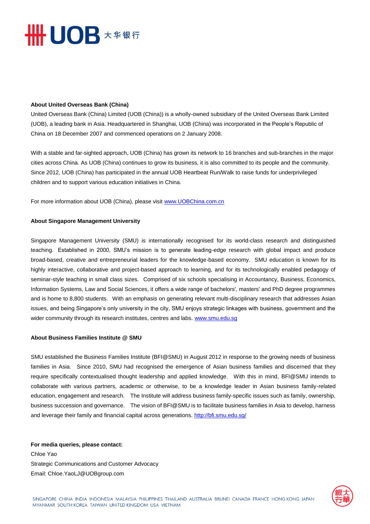# **HHUOB \*\*\*\***

#### **About United Overseas Bank (China)**

United Overseas Bank (China) Limited (UOB (China)) is a wholly-owned subsidiary of the United Overseas Bank Limited (UOB), a leading bank in Asia. Headquartered in Shanghai, UOB (China) was incorporated in the People's Republic of China on 18 December 2007 and commenced operations on 2 January 2008.

With a stable and far-sighted approach, UOB (China) has grown its network to 16 branches and sub-branches in the major cities across China. As UOB (China) continues to grow its business, it is also committed to its people and the community. Since 2012, UOB (China) has participated in the annual UOB Heartbeat Run/Walk to raise funds for underprivileged children and to support various education initiatives in China.

For more information about UOB (China), please visit [www.UOBChina.com.cn](http://www.uobchina.com.cn/)

#### **About Singapore Management University**

Singapore Management University (SMU) is internationally recognised for its world-class research and distinguished teaching. Established in 2000, SMU's mission is to generate leading-edge research with global impact and produce broad-based, creative and entrepreneurial leaders for the knowledge-based economy. SMU education is known for its highly interactive, collaborative and project-based approach to learning, and for its technologically enabled pedagogy of seminar-style teaching in small class sizes. Comprised of six schools specialising in Accountancy, Business, Economics, Information Systems, Law and Social Sciences, it offers a wide range of bachelors', masters' and PhD degree programmes and is home to 8,800 students. With an emphasis on generating relevant multi-disciplinary research that addresses Asian issues, and being Singapore's only university in the city, SMU enjoys strategic linkages with business, government and the wider community through its research institutes, centres and labs. [www.smu.edu.sg](http://www.smu.edu.sg/)

### **About Business Families Institute @ SMU**

SMU established the Business Families Institute (BFI@SMU) in August 2012 in response to the growing needs of business families in Asia. Since 2010, SMU had recognised the emergence of Asian business families and discerned that they require specifically contextualised thought leadership and applied knowledge. With this in mind, BFI@SMU intends to collaborate with various partners, academic or otherwise, to be a knowledge leader in Asian business family-related education, engagement and research. The Institute will address business family-specific issues such as family, ownership, business succession and governance. The vision of BFI@SMU is to facilitate business families in Asia to develop, harness and leverage their family and financial capital across generations. <http://bfi.smu.edu.sg/>

### **For media queries, please contact:**  Chloe Yao

Strategic Communications and Customer Advocacy Email: Chloe.YaoLJ@UOBgroup.com